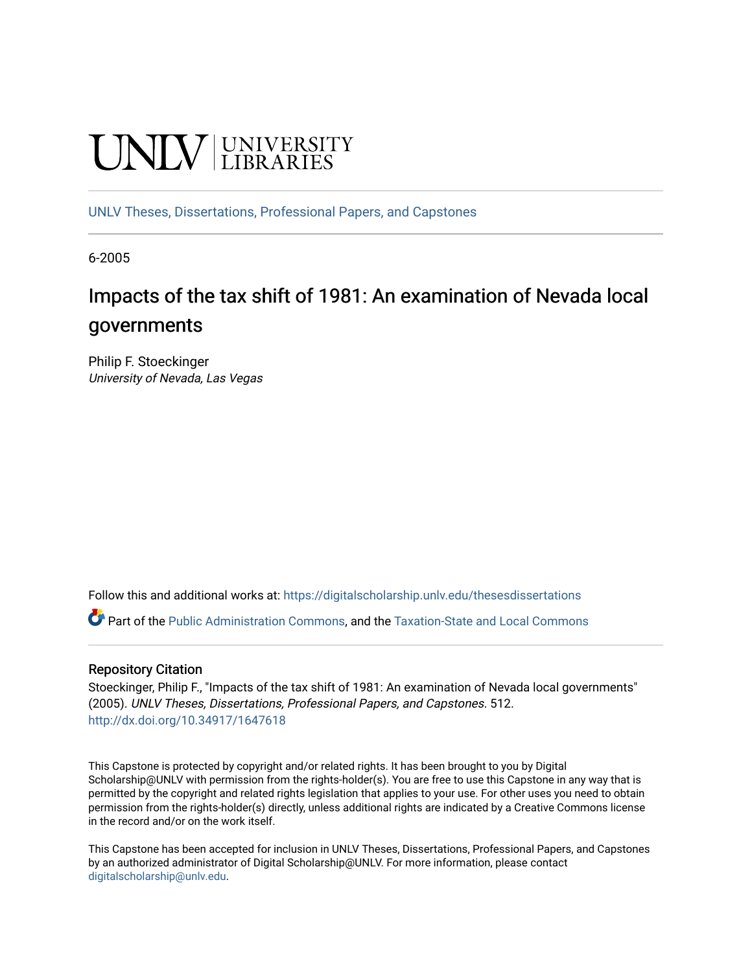# **UNIVERSITY**

[UNLV Theses, Dissertations, Professional Papers, and Capstones](https://digitalscholarship.unlv.edu/thesesdissertations)

6-2005

# Impacts of the tax shift of 1981: An examination of Nevada local governments

Philip F. Stoeckinger University of Nevada, Las Vegas

Follow this and additional works at: [https://digitalscholarship.unlv.edu/thesesdissertations](https://digitalscholarship.unlv.edu/thesesdissertations?utm_source=digitalscholarship.unlv.edu%2Fthesesdissertations%2F512&utm_medium=PDF&utm_campaign=PDFCoverPages)

Part of the [Public Administration Commons](http://network.bepress.com/hgg/discipline/398?utm_source=digitalscholarship.unlv.edu%2Fthesesdissertations%2F512&utm_medium=PDF&utm_campaign=PDFCoverPages), and the [Taxation-State and Local Commons](http://network.bepress.com/hgg/discipline/882?utm_source=digitalscholarship.unlv.edu%2Fthesesdissertations%2F512&utm_medium=PDF&utm_campaign=PDFCoverPages) 

# Repository Citation

Stoeckinger, Philip F., "Impacts of the tax shift of 1981: An examination of Nevada local governments" (2005). UNLV Theses, Dissertations, Professional Papers, and Capstones. 512. <http://dx.doi.org/10.34917/1647618>

This Capstone is protected by copyright and/or related rights. It has been brought to you by Digital Scholarship@UNLV with permission from the rights-holder(s). You are free to use this Capstone in any way that is permitted by the copyright and related rights legislation that applies to your use. For other uses you need to obtain permission from the rights-holder(s) directly, unless additional rights are indicated by a Creative Commons license in the record and/or on the work itself.

This Capstone has been accepted for inclusion in UNLV Theses, Dissertations, Professional Papers, and Capstones by an authorized administrator of Digital Scholarship@UNLV. For more information, please contact [digitalscholarship@unlv.edu](mailto:digitalscholarship@unlv.edu).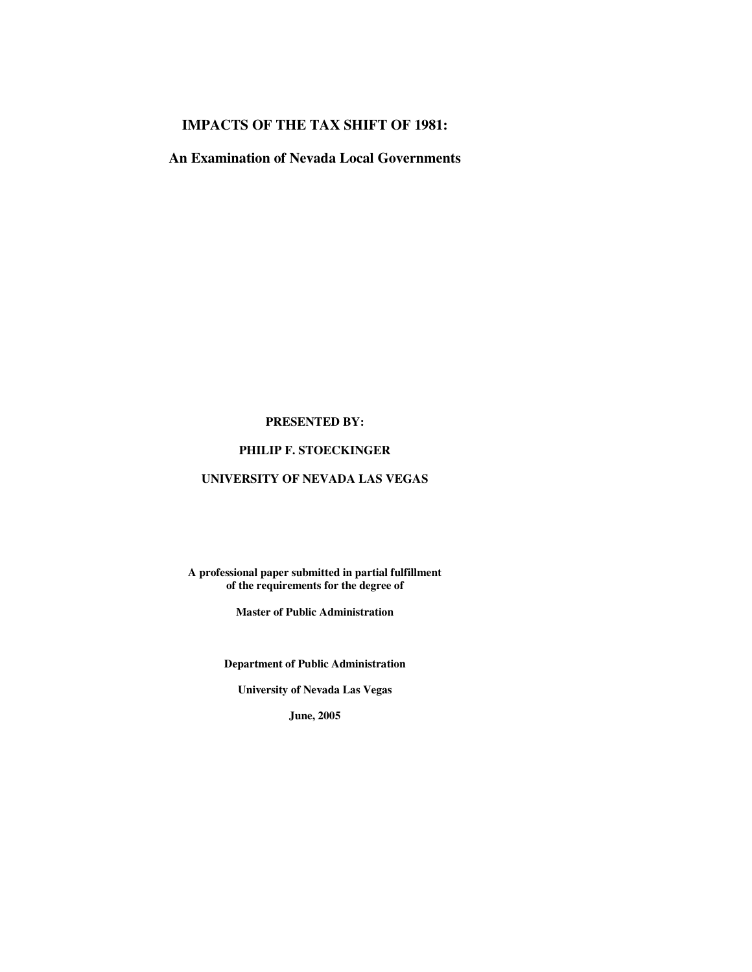# **IMPACTS OF THE TAX SHIFT OF 1981:**

**An Examination of Nevada Local Governments** 

#### **PRESENTED BY:**

### **PHILIP F. STOECKINGER**

## **UNIVERSITY OF NEVADA LAS VEGAS**

**A professional paper submitted in partial fulfillment of the requirements for the degree of** 

**Master of Public Administration** 

**Department of Public Administration** 

**University of Nevada Las Vegas** 

**June, 2005**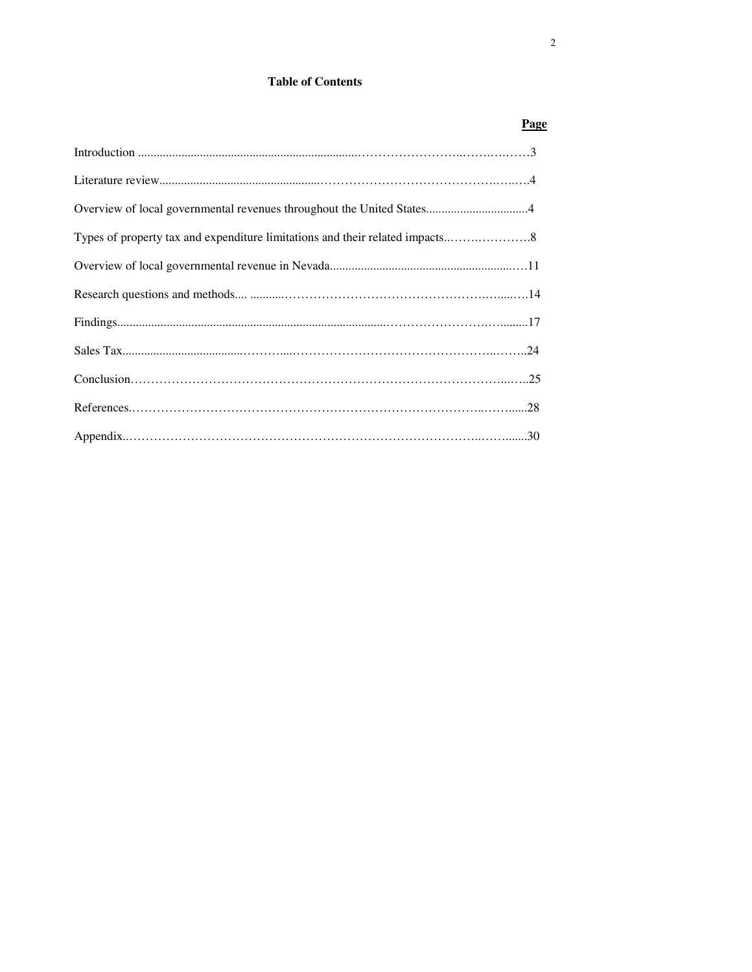# **Table of Contents**

| Page |
|------|
|      |
|      |
|      |
|      |
|      |
|      |
|      |
|      |
|      |
|      |
|      |
|      |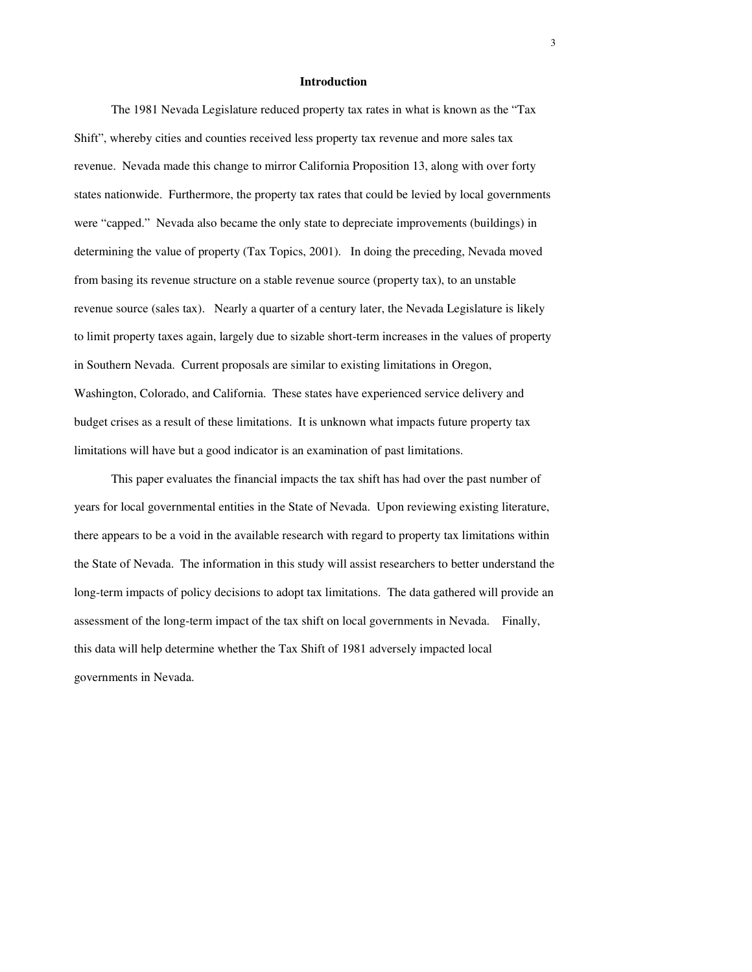#### **Introduction**

The 1981 Nevada Legislature reduced property tax rates in what is known as the "Tax Shift", whereby cities and counties received less property tax revenue and more sales tax revenue. Nevada made this change to mirror California Proposition 13, along with over forty states nationwide. Furthermore, the property tax rates that could be levied by local governments were "capped." Nevada also became the only state to depreciate improvements (buildings) in determining the value of property (Tax Topics, 2001). In doing the preceding, Nevada moved from basing its revenue structure on a stable revenue source (property tax), to an unstable revenue source (sales tax). Nearly a quarter of a century later, the Nevada Legislature is likely to limit property taxes again, largely due to sizable short-term increases in the values of property in Southern Nevada. Current proposals are similar to existing limitations in Oregon, Washington, Colorado, and California. These states have experienced service delivery and budget crises as a result of these limitations. It is unknown what impacts future property tax limitations will have but a good indicator is an examination of past limitations.

This paper evaluates the financial impacts the tax shift has had over the past number of years for local governmental entities in the State of Nevada. Upon reviewing existing literature, there appears to be a void in the available research with regard to property tax limitations within the State of Nevada. The information in this study will assist researchers to better understand the long-term impacts of policy decisions to adopt tax limitations. The data gathered will provide an assessment of the long-term impact of the tax shift on local governments in Nevada. Finally, this data will help determine whether the Tax Shift of 1981 adversely impacted local governments in Nevada.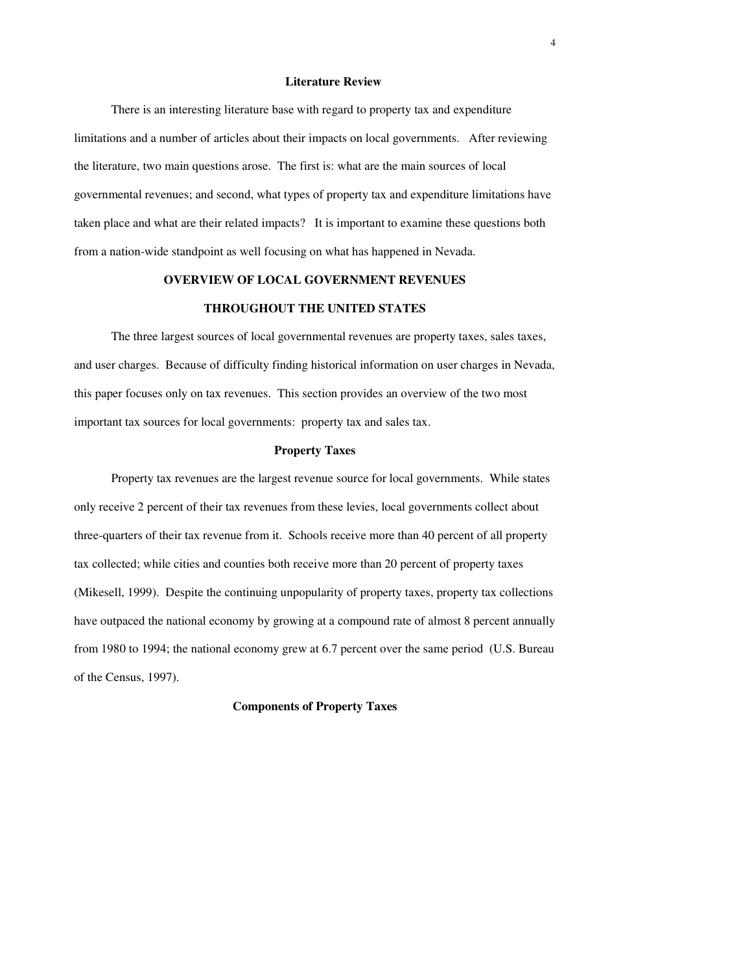#### **Literature Review**

There is an interesting literature base with regard to property tax and expenditure limitations and a number of articles about their impacts on local governments. After reviewing the literature, two main questions arose. The first is: what are the main sources of local governmental revenues; and second, what types of property tax and expenditure limitations have taken place and what are their related impacts? It is important to examine these questions both from a nation-wide standpoint as well focusing on what has happened in Nevada.

#### **OVERVIEW OF LOCAL GOVERNMENT REVENUES**

#### **THROUGHOUT THE UNITED STATES**

The three largest sources of local governmental revenues are property taxes, sales taxes, and user charges. Because of difficulty finding historical information on user charges in Nevada, this paper focuses only on tax revenues. This section provides an overview of the two most important tax sources for local governments: property tax and sales tax.

#### **Property Taxes**

Property tax revenues are the largest revenue source for local governments. While states only receive 2 percent of their tax revenues from these levies, local governments collect about three-quarters of their tax revenue from it. Schools receive more than 40 percent of all property tax collected; while cities and counties both receive more than 20 percent of property taxes (Mikesell, 1999). Despite the continuing unpopularity of property taxes, property tax collections have outpaced the national economy by growing at a compound rate of almost 8 percent annually from 1980 to 1994; the national economy grew at 6.7 percent over the same period (U.S. Bureau of the Census, 1997).

#### **Components of Property Taxes**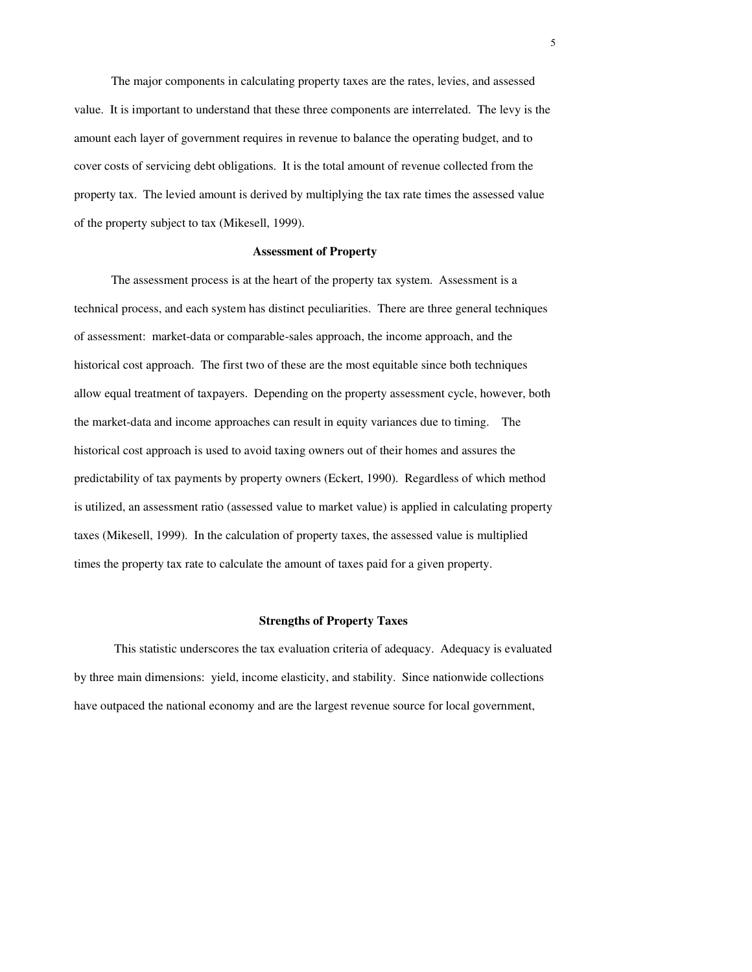The major components in calculating property taxes are the rates, levies, and assessed value. It is important to understand that these three components are interrelated. The levy is the amount each layer of government requires in revenue to balance the operating budget, and to cover costs of servicing debt obligations. It is the total amount of revenue collected from the property tax. The levied amount is derived by multiplying the tax rate times the assessed value of the property subject to tax (Mikesell, 1999).

#### **Assessment of Property**

The assessment process is at the heart of the property tax system. Assessment is a technical process, and each system has distinct peculiarities. There are three general techniques of assessment: market-data or comparable-sales approach, the income approach, and the historical cost approach. The first two of these are the most equitable since both techniques allow equal treatment of taxpayers. Depending on the property assessment cycle, however, both the market-data and income approaches can result in equity variances due to timing. The historical cost approach is used to avoid taxing owners out of their homes and assures the predictability of tax payments by property owners (Eckert, 1990). Regardless of which method is utilized, an assessment ratio (assessed value to market value) is applied in calculating property taxes (Mikesell, 1999). In the calculation of property taxes, the assessed value is multiplied times the property tax rate to calculate the amount of taxes paid for a given property.

#### **Strengths of Property Taxes**

 This statistic underscores the tax evaluation criteria of adequacy. Adequacy is evaluated by three main dimensions: yield, income elasticity, and stability. Since nationwide collections have outpaced the national economy and are the largest revenue source for local government,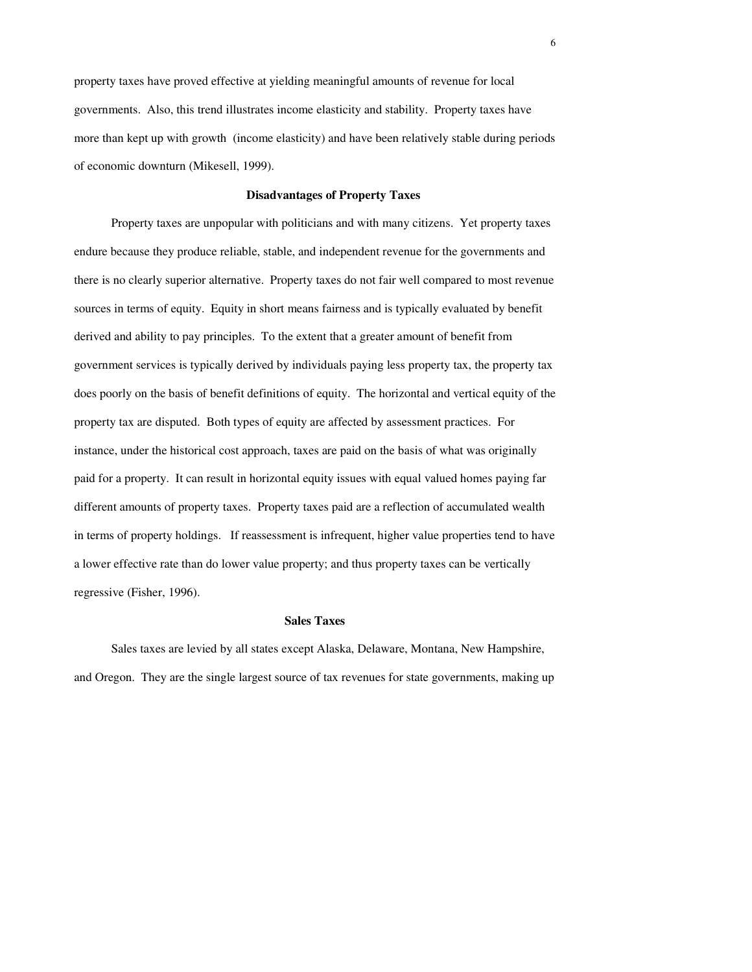property taxes have proved effective at yielding meaningful amounts of revenue for local governments. Also, this trend illustrates income elasticity and stability. Property taxes have more than kept up with growth (income elasticity) and have been relatively stable during periods of economic downturn (Mikesell, 1999).

#### **Disadvantages of Property Taxes**

 Property taxes are unpopular with politicians and with many citizens. Yet property taxes endure because they produce reliable, stable, and independent revenue for the governments and there is no clearly superior alternative. Property taxes do not fair well compared to most revenue sources in terms of equity. Equity in short means fairness and is typically evaluated by benefit derived and ability to pay principles. To the extent that a greater amount of benefit from government services is typically derived by individuals paying less property tax, the property tax does poorly on the basis of benefit definitions of equity. The horizontal and vertical equity of the property tax are disputed. Both types of equity are affected by assessment practices. For instance, under the historical cost approach, taxes are paid on the basis of what was originally paid for a property. It can result in horizontal equity issues with equal valued homes paying far different amounts of property taxes. Property taxes paid are a reflection of accumulated wealth in terms of property holdings. If reassessment is infrequent, higher value properties tend to have a lower effective rate than do lower value property; and thus property taxes can be vertically regressive (Fisher, 1996).

#### **Sales Taxes**

 Sales taxes are levied by all states except Alaska, Delaware, Montana, New Hampshire, and Oregon. They are the single largest source of tax revenues for state governments, making up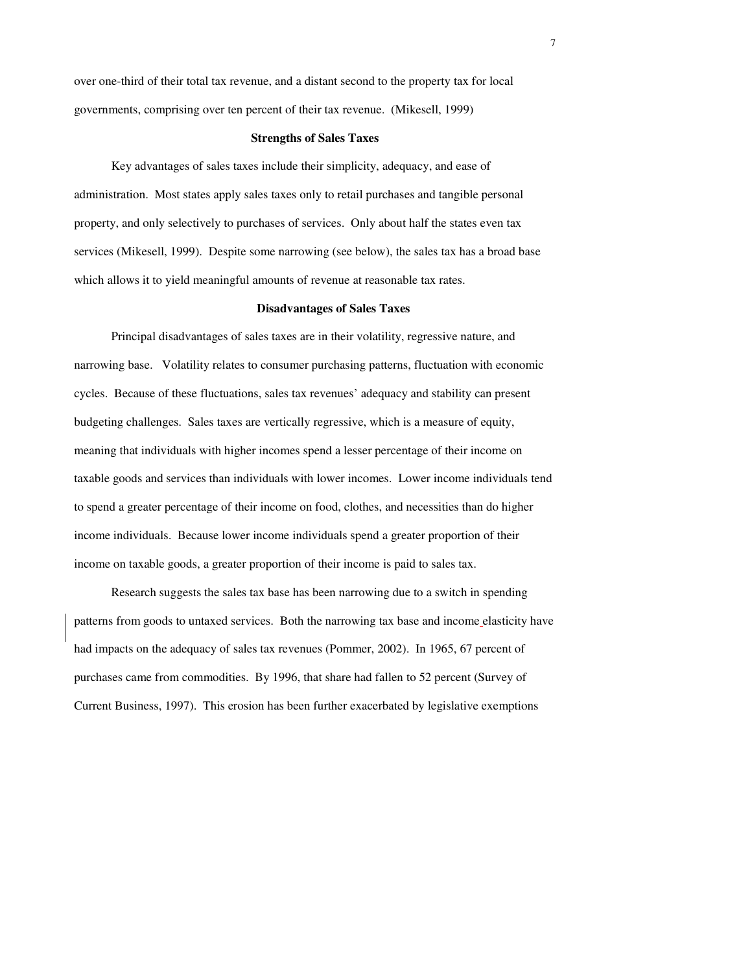over one-third of their total tax revenue, and a distant second to the property tax for local governments, comprising over ten percent of their tax revenue. (Mikesell, 1999)

#### **Strengths of Sales Taxes**

Key advantages of sales taxes include their simplicity, adequacy, and ease of administration. Most states apply sales taxes only to retail purchases and tangible personal property, and only selectively to purchases of services. Only about half the states even tax services (Mikesell, 1999). Despite some narrowing (see below), the sales tax has a broad base which allows it to yield meaningful amounts of revenue at reasonable tax rates.

#### **Disadvantages of Sales Taxes**

Principal disadvantages of sales taxes are in their volatility, regressive nature, and narrowing base. Volatility relates to consumer purchasing patterns, fluctuation with economic cycles. Because of these fluctuations, sales tax revenues' adequacy and stability can present budgeting challenges. Sales taxes are vertically regressive, which is a measure of equity, meaning that individuals with higher incomes spend a lesser percentage of their income on taxable goods and services than individuals with lower incomes. Lower income individuals tend to spend a greater percentage of their income on food, clothes, and necessities than do higher income individuals. Because lower income individuals spend a greater proportion of their income on taxable goods, a greater proportion of their income is paid to sales tax.

Research suggests the sales tax base has been narrowing due to a switch in spending patterns from goods to untaxed services. Both the narrowing tax base and income elasticity have had impacts on the adequacy of sales tax revenues (Pommer, 2002). In 1965, 67 percent of purchases came from commodities. By 1996, that share had fallen to 52 percent (Survey of Current Business, 1997). This erosion has been further exacerbated by legislative exemptions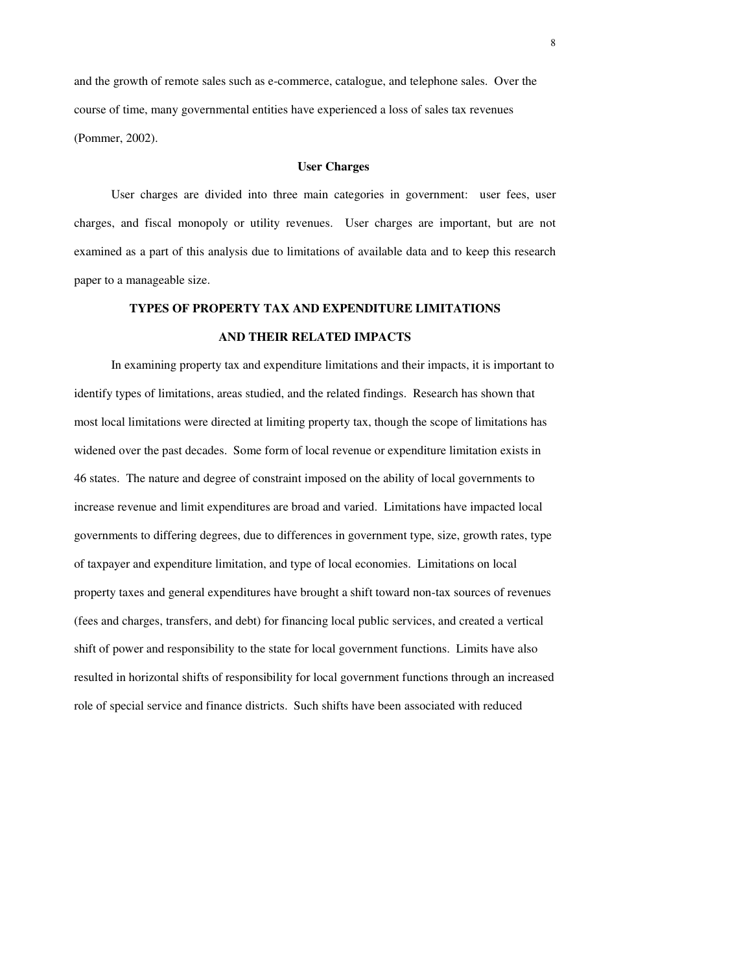and the growth of remote sales such as e-commerce, catalogue, and telephone sales. Over the course of time, many governmental entities have experienced a loss of sales tax revenues (Pommer, 2002).

#### **User Charges**

User charges are divided into three main categories in government: user fees, user charges, and fiscal monopoly or utility revenues. User charges are important, but are not examined as a part of this analysis due to limitations of available data and to keep this research paper to a manageable size.

# **TYPES OF PROPERTY TAX AND EXPENDITURE LIMITATIONS AND THEIR RELATED IMPACTS**

In examining property tax and expenditure limitations and their impacts, it is important to identify types of limitations, areas studied, and the related findings. Research has shown that most local limitations were directed at limiting property tax, though the scope of limitations has widened over the past decades. Some form of local revenue or expenditure limitation exists in 46 states. The nature and degree of constraint imposed on the ability of local governments to increase revenue and limit expenditures are broad and varied. Limitations have impacted local governments to differing degrees, due to differences in government type, size, growth rates, type of taxpayer and expenditure limitation, and type of local economies. Limitations on local property taxes and general expenditures have brought a shift toward non-tax sources of revenues (fees and charges, transfers, and debt) for financing local public services, and created a vertical shift of power and responsibility to the state for local government functions. Limits have also resulted in horizontal shifts of responsibility for local government functions through an increased role of special service and finance districts. Such shifts have been associated with reduced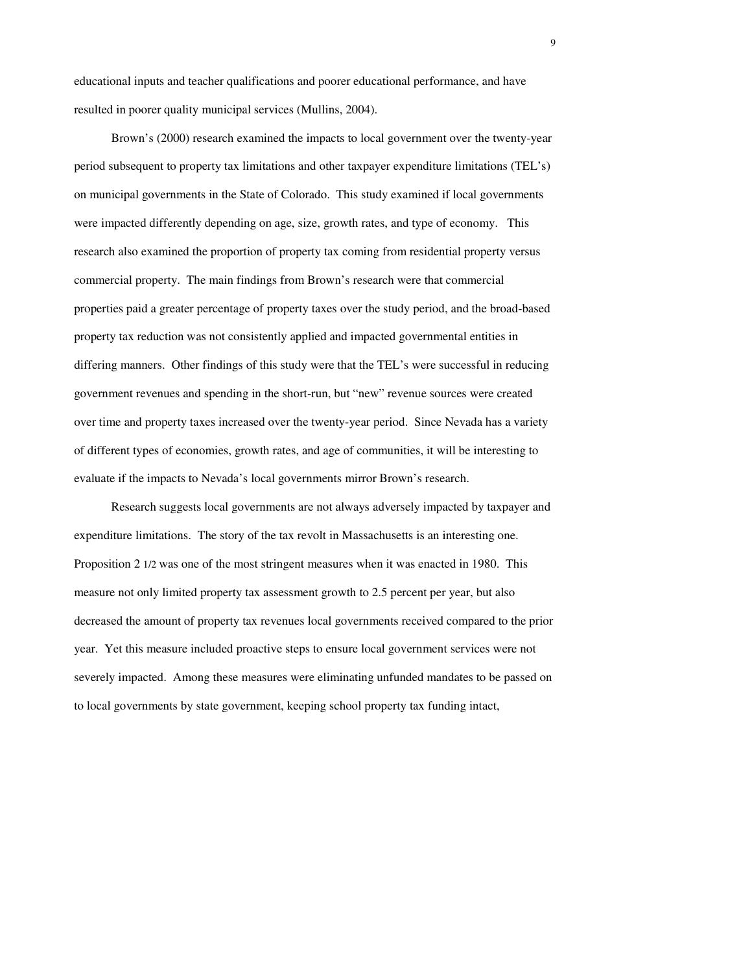educational inputs and teacher qualifications and poorer educational performance, and have resulted in poorer quality municipal services (Mullins, 2004).

Brown's (2000) research examined the impacts to local government over the twenty-year period subsequent to property tax limitations and other taxpayer expenditure limitations (TEL's) on municipal governments in the State of Colorado. This study examined if local governments were impacted differently depending on age, size, growth rates, and type of economy. This research also examined the proportion of property tax coming from residential property versus commercial property. The main findings from Brown's research were that commercial properties paid a greater percentage of property taxes over the study period, and the broad-based property tax reduction was not consistently applied and impacted governmental entities in differing manners. Other findings of this study were that the TEL's were successful in reducing government revenues and spending in the short-run, but "new" revenue sources were created over time and property taxes increased over the twenty-year period. Since Nevada has a variety of different types of economies, growth rates, and age of communities, it will be interesting to evaluate if the impacts to Nevada's local governments mirror Brown's research.

Research suggests local governments are not always adversely impacted by taxpayer and expenditure limitations. The story of the tax revolt in Massachusetts is an interesting one. Proposition 2 1/2 was one of the most stringent measures when it was enacted in 1980. This measure not only limited property tax assessment growth to 2.5 percent per year, but also decreased the amount of property tax revenues local governments received compared to the prior year. Yet this measure included proactive steps to ensure local government services were not severely impacted. Among these measures were eliminating unfunded mandates to be passed on to local governments by state government, keeping school property tax funding intact,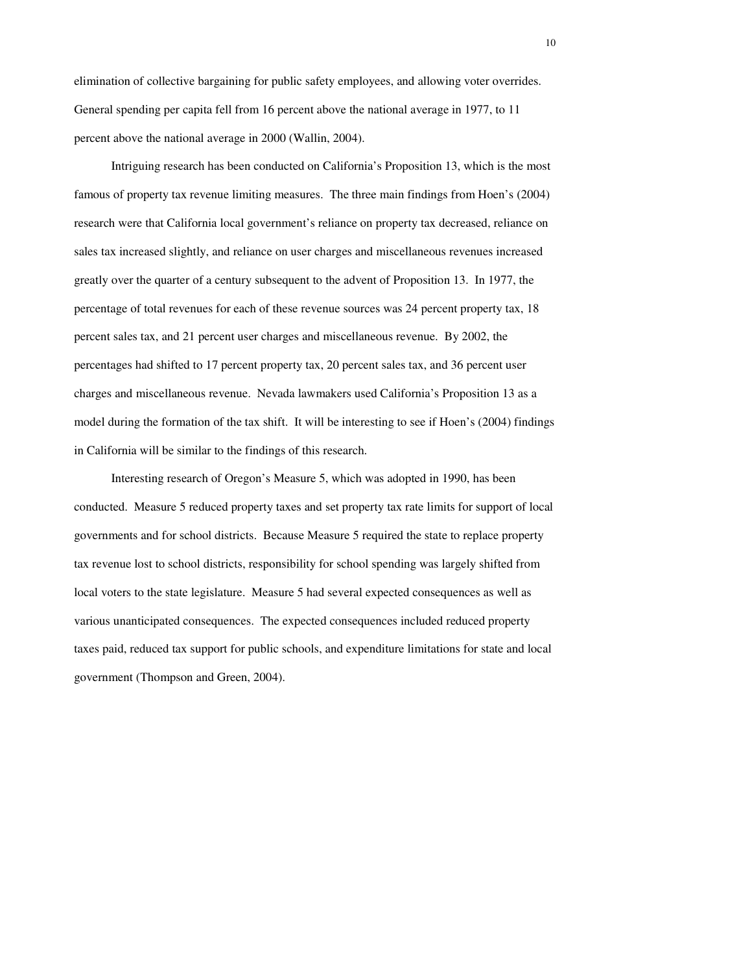elimination of collective bargaining for public safety employees, and allowing voter overrides. General spending per capita fell from 16 percent above the national average in 1977, to 11 percent above the national average in 2000 (Wallin, 2004).

Intriguing research has been conducted on California's Proposition 13, which is the most famous of property tax revenue limiting measures. The three main findings from Hoen's (2004) research were that California local government's reliance on property tax decreased, reliance on sales tax increased slightly, and reliance on user charges and miscellaneous revenues increased greatly over the quarter of a century subsequent to the advent of Proposition 13. In 1977, the percentage of total revenues for each of these revenue sources was 24 percent property tax, 18 percent sales tax, and 21 percent user charges and miscellaneous revenue. By 2002, the percentages had shifted to 17 percent property tax, 20 percent sales tax, and 36 percent user charges and miscellaneous revenue. Nevada lawmakers used California's Proposition 13 as a model during the formation of the tax shift. It will be interesting to see if Hoen's (2004) findings in California will be similar to the findings of this research.

Interesting research of Oregon's Measure 5, which was adopted in 1990, has been conducted. Measure 5 reduced property taxes and set property tax rate limits for support of local governments and for school districts. Because Measure 5 required the state to replace property tax revenue lost to school districts, responsibility for school spending was largely shifted from local voters to the state legislature. Measure 5 had several expected consequences as well as various unanticipated consequences. The expected consequences included reduced property taxes paid, reduced tax support for public schools, and expenditure limitations for state and local government (Thompson and Green, 2004).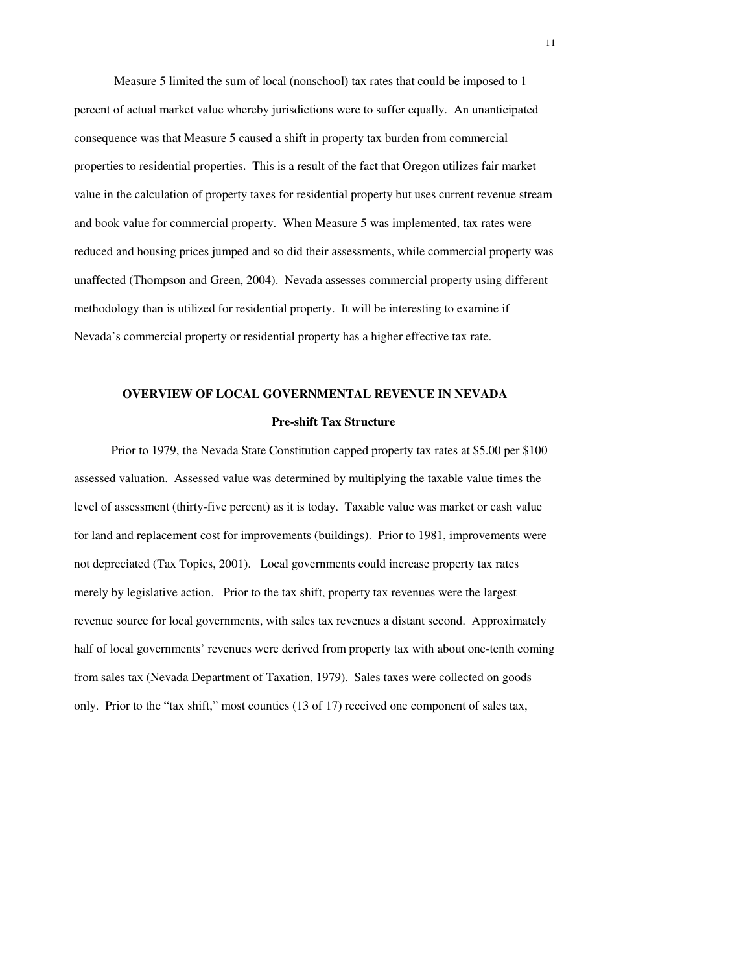Measure 5 limited the sum of local (nonschool) tax rates that could be imposed to 1 percent of actual market value whereby jurisdictions were to suffer equally. An unanticipated consequence was that Measure 5 caused a shift in property tax burden from commercial properties to residential properties. This is a result of the fact that Oregon utilizes fair market value in the calculation of property taxes for residential property but uses current revenue stream and book value for commercial property. When Measure 5 was implemented, tax rates were reduced and housing prices jumped and so did their assessments, while commercial property was unaffected (Thompson and Green, 2004). Nevada assesses commercial property using different methodology than is utilized for residential property. It will be interesting to examine if Nevada's commercial property or residential property has a higher effective tax rate.

# **OVERVIEW OF LOCAL GOVERNMENTAL REVENUE IN NEVADA Pre-shift Tax Structure**

Prior to 1979, the Nevada State Constitution capped property tax rates at \$5.00 per \$100 assessed valuation. Assessed value was determined by multiplying the taxable value times the level of assessment (thirty-five percent) as it is today. Taxable value was market or cash value for land and replacement cost for improvements (buildings). Prior to 1981, improvements were not depreciated (Tax Topics, 2001). Local governments could increase property tax rates merely by legislative action. Prior to the tax shift, property tax revenues were the largest revenue source for local governments, with sales tax revenues a distant second. Approximately half of local governments' revenues were derived from property tax with about one-tenth coming from sales tax (Nevada Department of Taxation, 1979). Sales taxes were collected on goods only. Prior to the "tax shift," most counties (13 of 17) received one component of sales tax,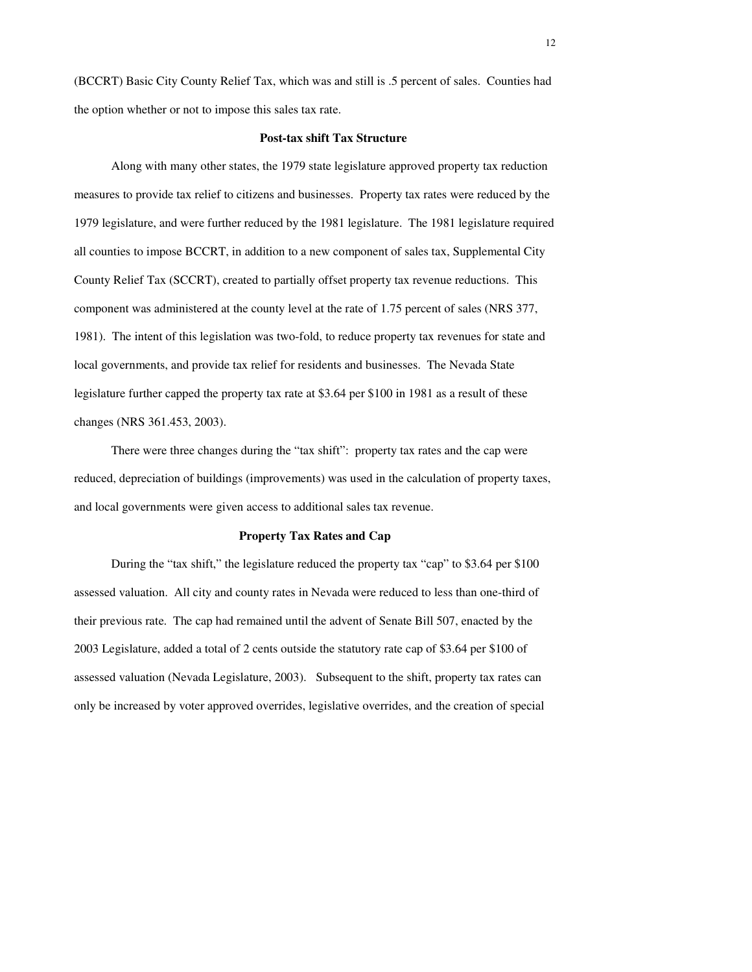(BCCRT) Basic City County Relief Tax, which was and still is .5 percent of sales. Counties had the option whether or not to impose this sales tax rate.

#### **Post-tax shift Tax Structure**

Along with many other states, the 1979 state legislature approved property tax reduction measures to provide tax relief to citizens and businesses. Property tax rates were reduced by the 1979 legislature, and were further reduced by the 1981 legislature. The 1981 legislature required all counties to impose BCCRT, in addition to a new component of sales tax, Supplemental City County Relief Tax (SCCRT), created to partially offset property tax revenue reductions. This component was administered at the county level at the rate of 1.75 percent of sales (NRS 377, 1981). The intent of this legislation was two-fold, to reduce property tax revenues for state and local governments, and provide tax relief for residents and businesses. The Nevada State legislature further capped the property tax rate at \$3.64 per \$100 in 1981 as a result of these changes (NRS 361.453, 2003).

There were three changes during the "tax shift": property tax rates and the cap were reduced, depreciation of buildings (improvements) was used in the calculation of property taxes, and local governments were given access to additional sales tax revenue.

#### **Property Tax Rates and Cap**

During the "tax shift," the legislature reduced the property tax "cap" to \$3.64 per \$100 assessed valuation. All city and county rates in Nevada were reduced to less than one-third of their previous rate. The cap had remained until the advent of Senate Bill 507, enacted by the 2003 Legislature, added a total of 2 cents outside the statutory rate cap of \$3.64 per \$100 of assessed valuation (Nevada Legislature, 2003). Subsequent to the shift, property tax rates can only be increased by voter approved overrides, legislative overrides, and the creation of special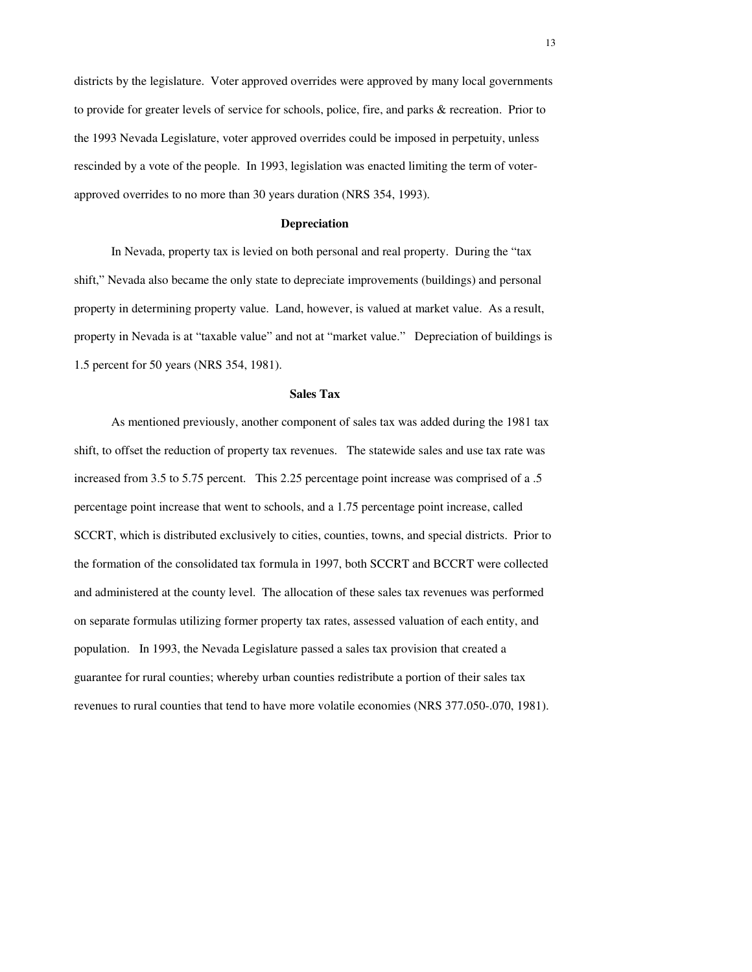districts by the legislature. Voter approved overrides were approved by many local governments to provide for greater levels of service for schools, police, fire, and parks & recreation. Prior to the 1993 Nevada Legislature, voter approved overrides could be imposed in perpetuity, unless rescinded by a vote of the people. In 1993, legislation was enacted limiting the term of voterapproved overrides to no more than 30 years duration (NRS 354, 1993).

#### **Depreciation**

In Nevada, property tax is levied on both personal and real property. During the "tax shift," Nevada also became the only state to depreciate improvements (buildings) and personal property in determining property value. Land, however, is valued at market value. As a result, property in Nevada is at "taxable value" and not at "market value." Depreciation of buildings is 1.5 percent for 50 years (NRS 354, 1981).

#### **Sales Tax**

As mentioned previously, another component of sales tax was added during the 1981 tax shift, to offset the reduction of property tax revenues. The statewide sales and use tax rate was increased from 3.5 to 5.75 percent. This 2.25 percentage point increase was comprised of a .5 percentage point increase that went to schools, and a 1.75 percentage point increase, called SCCRT, which is distributed exclusively to cities, counties, towns, and special districts. Prior to the formation of the consolidated tax formula in 1997, both SCCRT and BCCRT were collected and administered at the county level. The allocation of these sales tax revenues was performed on separate formulas utilizing former property tax rates, assessed valuation of each entity, and population. In 1993, the Nevada Legislature passed a sales tax provision that created a guarantee for rural counties; whereby urban counties redistribute a portion of their sales tax revenues to rural counties that tend to have more volatile economies (NRS 377.050-.070, 1981).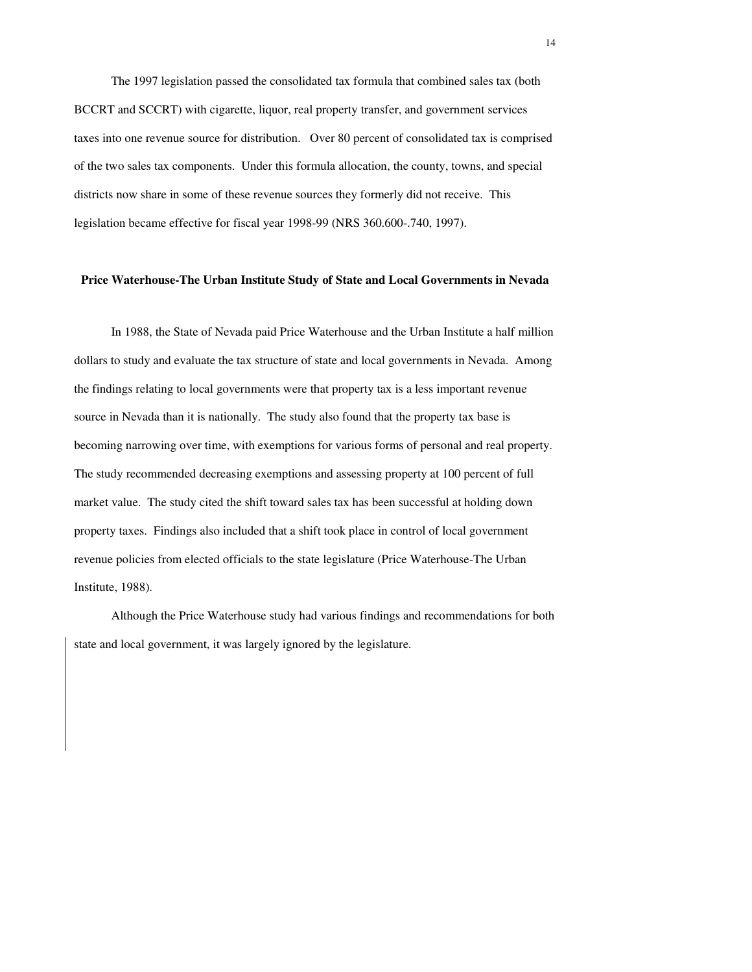The 1997 legislation passed the consolidated tax formula that combined sales tax (both BCCRT and SCCRT) with cigarette, liquor, real property transfer, and government services taxes into one revenue source for distribution. Over 80 percent of consolidated tax is comprised of the two sales tax components. Under this formula allocation, the county, towns, and special districts now share in some of these revenue sources they formerly did not receive. This legislation became effective for fiscal year 1998-99 (NRS 360.600-.740, 1997).

#### **Price Waterhouse-The Urban Institute Study of State and Local Governments in Nevada**

In 1988, the State of Nevada paid Price Waterhouse and the Urban Institute a half million dollars to study and evaluate the tax structure of state and local governments in Nevada. Among the findings relating to local governments were that property tax is a less important revenue source in Nevada than it is nationally. The study also found that the property tax base is becoming narrowing over time, with exemptions for various forms of personal and real property. The study recommended decreasing exemptions and assessing property at 100 percent of full market value. The study cited the shift toward sales tax has been successful at holding down property taxes. Findings also included that a shift took place in control of local government revenue policies from elected officials to the state legislature (Price Waterhouse-The Urban Institute, 1988).

Although the Price Waterhouse study had various findings and recommendations for both state and local government, it was largely ignored by the legislature.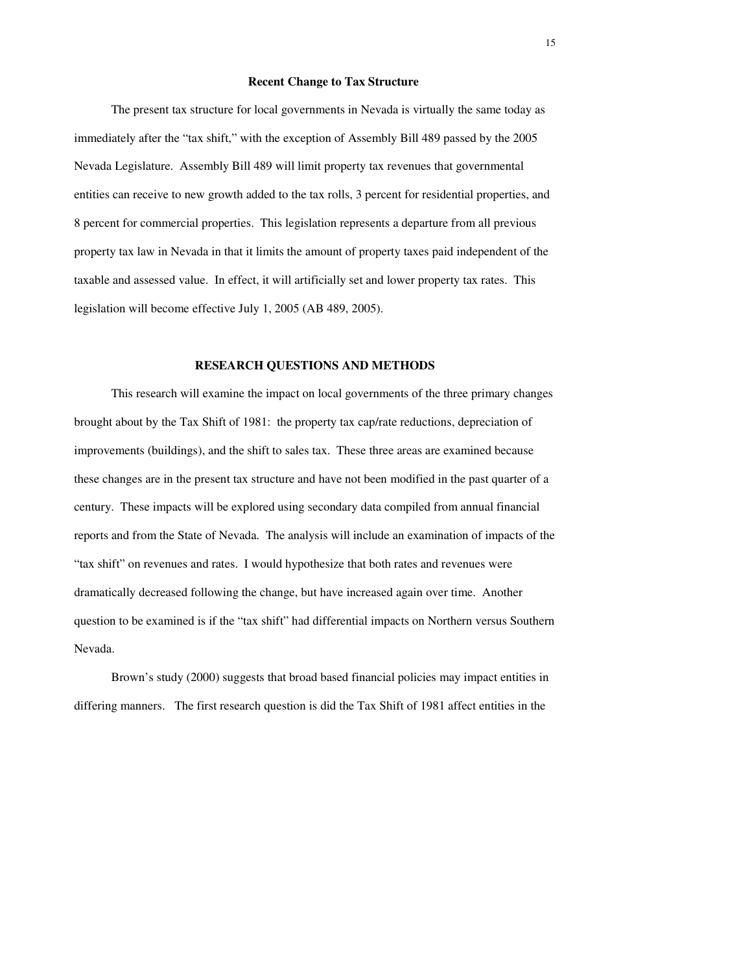#### **Recent Change to Tax Structure**

The present tax structure for local governments in Nevada is virtually the same today as immediately after the "tax shift," with the exception of Assembly Bill 489 passed by the 2005 Nevada Legislature. Assembly Bill 489 will limit property tax revenues that governmental entities can receive to new growth added to the tax rolls, 3 percent for residential properties, and 8 percent for commercial properties. This legislation represents a departure from all previous property tax law in Nevada in that it limits the amount of property taxes paid independent of the taxable and assessed value. In effect, it will artificially set and lower property tax rates. This legislation will become effective July 1, 2005 (AB 489, 2005).

#### **RESEARCH QUESTIONS AND METHODS**

This research will examine the impact on local governments of the three primary changes brought about by the Tax Shift of 1981: the property tax cap/rate reductions, depreciation of improvements (buildings), and the shift to sales tax. These three areas are examined because these changes are in the present tax structure and have not been modified in the past quarter of a century. These impacts will be explored using secondary data compiled from annual financial reports and from the State of Nevada. The analysis will include an examination of impacts of the "tax shift" on revenues and rates. I would hypothesize that both rates and revenues were dramatically decreased following the change, but have increased again over time. Another question to be examined is if the "tax shift" had differential impacts on Northern versus Southern Nevada.

Brown's study (2000) suggests that broad based financial policies may impact entities in differing manners. The first research question is did the Tax Shift of 1981 affect entities in the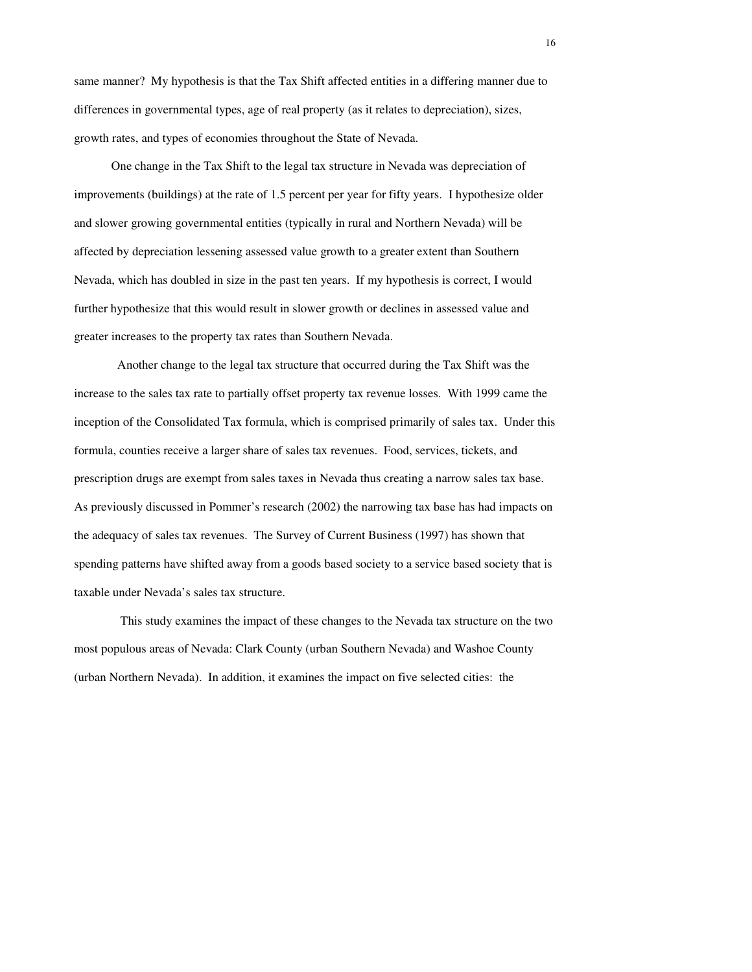same manner? My hypothesis is that the Tax Shift affected entities in a differing manner due to differences in governmental types, age of real property (as it relates to depreciation), sizes, growth rates, and types of economies throughout the State of Nevada.

One change in the Tax Shift to the legal tax structure in Nevada was depreciation of improvements (buildings) at the rate of 1.5 percent per year for fifty years. I hypothesize older and slower growing governmental entities (typically in rural and Northern Nevada) will be affected by depreciation lessening assessed value growth to a greater extent than Southern Nevada, which has doubled in size in the past ten years. If my hypothesis is correct, I would further hypothesize that this would result in slower growth or declines in assessed value and greater increases to the property tax rates than Southern Nevada.

 Another change to the legal tax structure that occurred during the Tax Shift was the increase to the sales tax rate to partially offset property tax revenue losses. With 1999 came the inception of the Consolidated Tax formula, which is comprised primarily of sales tax. Under this formula, counties receive a larger share of sales tax revenues. Food, services, tickets, and prescription drugs are exempt from sales taxes in Nevada thus creating a narrow sales tax base. As previously discussed in Pommer's research (2002) the narrowing tax base has had impacts on the adequacy of sales tax revenues. The Survey of Current Business (1997) has shown that spending patterns have shifted away from a goods based society to a service based society that is taxable under Nevada's sales tax structure.

 This study examines the impact of these changes to the Nevada tax structure on the two most populous areas of Nevada: Clark County (urban Southern Nevada) and Washoe County (urban Northern Nevada). In addition, it examines the impact on five selected cities: the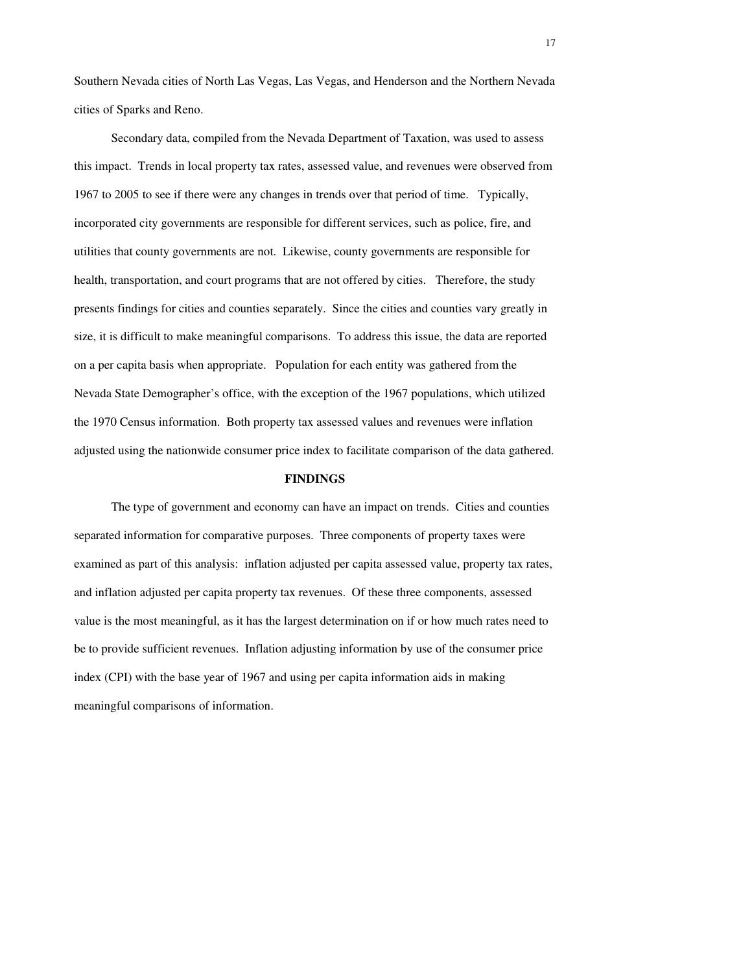Southern Nevada cities of North Las Vegas, Las Vegas, and Henderson and the Northern Nevada cities of Sparks and Reno.

Secondary data, compiled from the Nevada Department of Taxation, was used to assess this impact. Trends in local property tax rates, assessed value, and revenues were observed from 1967 to 2005 to see if there were any changes in trends over that period of time. Typically, incorporated city governments are responsible for different services, such as police, fire, and utilities that county governments are not. Likewise, county governments are responsible for health, transportation, and court programs that are not offered by cities. Therefore, the study presents findings for cities and counties separately. Since the cities and counties vary greatly in size, it is difficult to make meaningful comparisons. To address this issue, the data are reported on a per capita basis when appropriate. Population for each entity was gathered from the Nevada State Demographer's office, with the exception of the 1967 populations, which utilized the 1970 Census information. Both property tax assessed values and revenues were inflation adjusted using the nationwide consumer price index to facilitate comparison of the data gathered.

#### **FINDINGS**

The type of government and economy can have an impact on trends. Cities and counties separated information for comparative purposes. Three components of property taxes were examined as part of this analysis: inflation adjusted per capita assessed value, property tax rates, and inflation adjusted per capita property tax revenues. Of these three components, assessed value is the most meaningful, as it has the largest determination on if or how much rates need to be to provide sufficient revenues. Inflation adjusting information by use of the consumer price index (CPI) with the base year of 1967 and using per capita information aids in making meaningful comparisons of information.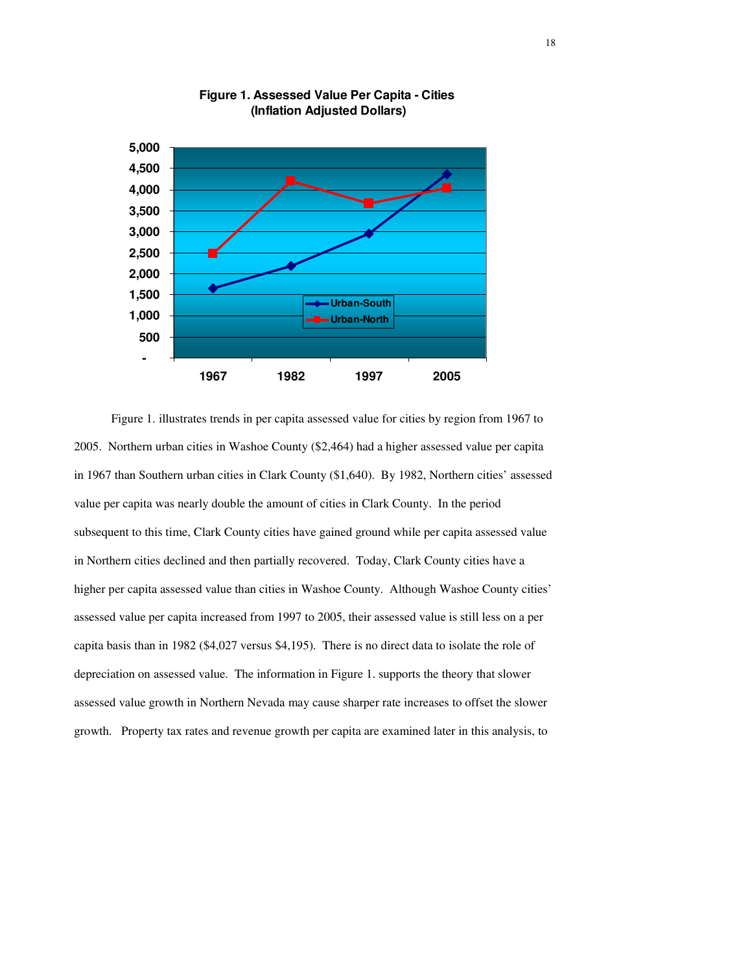

**Figure 1. Assessed Value Per Capita - Cities (Inflation Adjusted Dollars)**

Figure 1. illustrates trends in per capita assessed value for cities by region from 1967 to 2005. Northern urban cities in Washoe County (\$2,464) had a higher assessed value per capita in 1967 than Southern urban cities in Clark County (\$1,640). By 1982, Northern cities' assessed value per capita was nearly double the amount of cities in Clark County. In the period subsequent to this time, Clark County cities have gained ground while per capita assessed value in Northern cities declined and then partially recovered. Today, Clark County cities have a higher per capita assessed value than cities in Washoe County. Although Washoe County cities' assessed value per capita increased from 1997 to 2005, their assessed value is still less on a per capita basis than in 1982 (\$4,027 versus \$4,195). There is no direct data to isolate the role of depreciation on assessed value. The information in Figure 1. supports the theory that slower assessed value growth in Northern Nevada may cause sharper rate increases to offset the slower growth. Property tax rates and revenue growth per capita are examined later in this analysis, to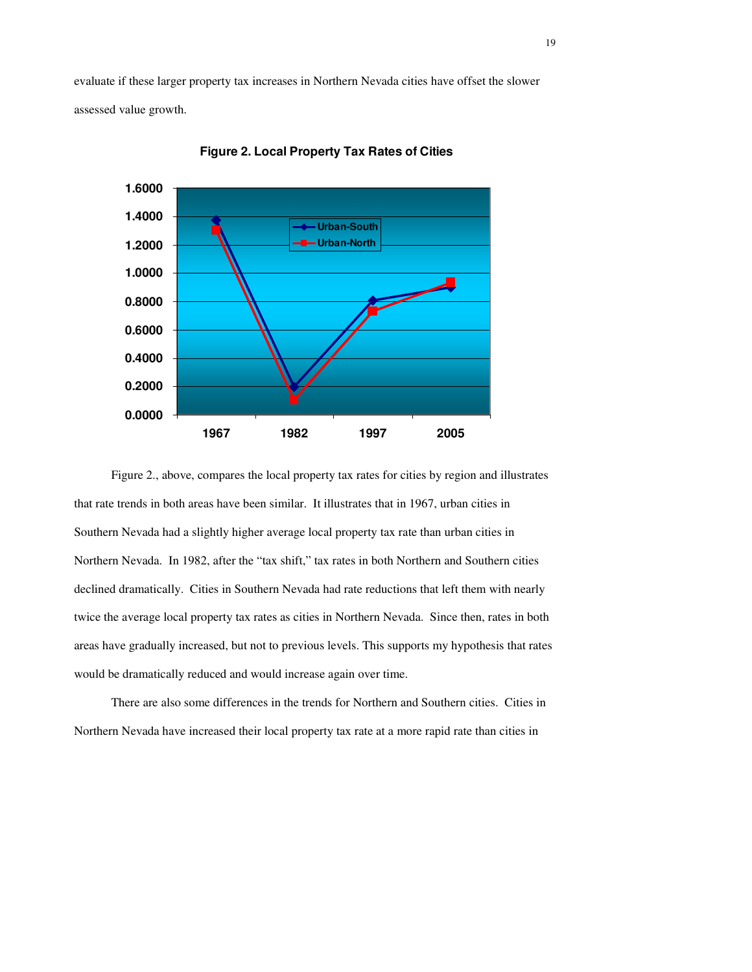evaluate if these larger property tax increases in Northern Nevada cities have offset the slower assessed value growth.



**Figure 2. Local Property Tax Rates of Cities**

Figure 2., above, compares the local property tax rates for cities by region and illustrates that rate trends in both areas have been similar. It illustrates that in 1967, urban cities in Southern Nevada had a slightly higher average local property tax rate than urban cities in Northern Nevada. In 1982, after the "tax shift," tax rates in both Northern and Southern cities declined dramatically. Cities in Southern Nevada had rate reductions that left them with nearly twice the average local property tax rates as cities in Northern Nevada. Since then, rates in both areas have gradually increased, but not to previous levels. This supports my hypothesis that rates would be dramatically reduced and would increase again over time.

There are also some differences in the trends for Northern and Southern cities. Cities in Northern Nevada have increased their local property tax rate at a more rapid rate than cities in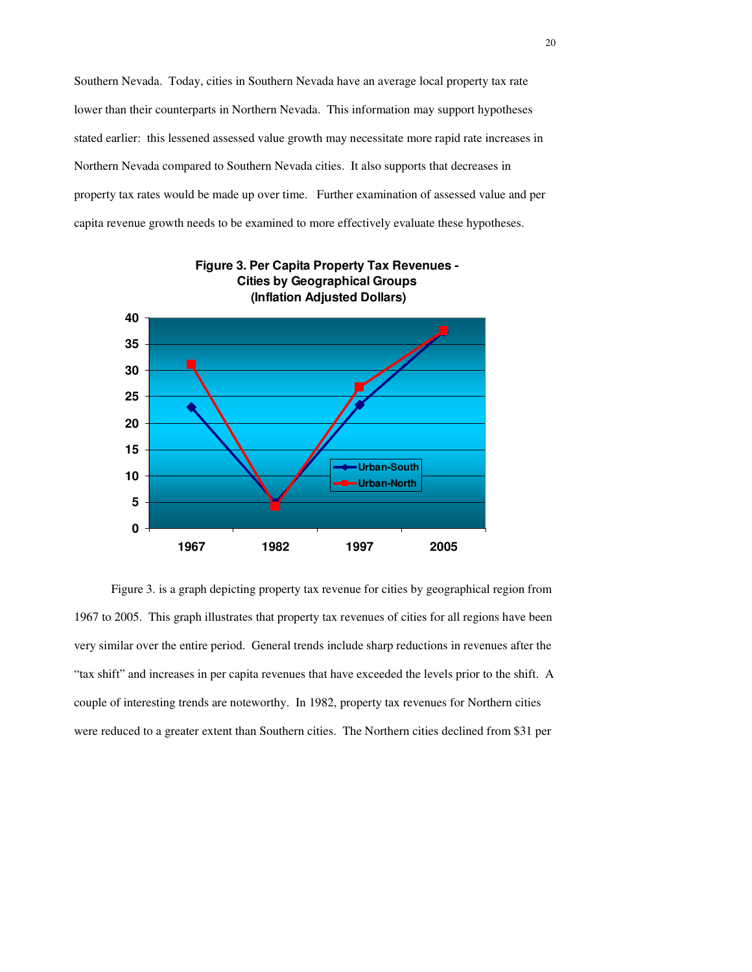Southern Nevada. Today, cities in Southern Nevada have an average local property tax rate lower than their counterparts in Northern Nevada. This information may support hypotheses stated earlier: this lessened assessed value growth may necessitate more rapid rate increases in Northern Nevada compared to Southern Nevada cities. It also supports that decreases in property tax rates would be made up over time. Further examination of assessed value and per capita revenue growth needs to be examined to more effectively evaluate these hypotheses.



Figure 3. is a graph depicting property tax revenue for cities by geographical region from 1967 to 2005. This graph illustrates that property tax revenues of cities for all regions have been very similar over the entire period. General trends include sharp reductions in revenues after the "tax shift" and increases in per capita revenues that have exceeded the levels prior to the shift. A couple of interesting trends are noteworthy. In 1982, property tax revenues for Northern cities were reduced to a greater extent than Southern cities. The Northern cities declined from \$31 per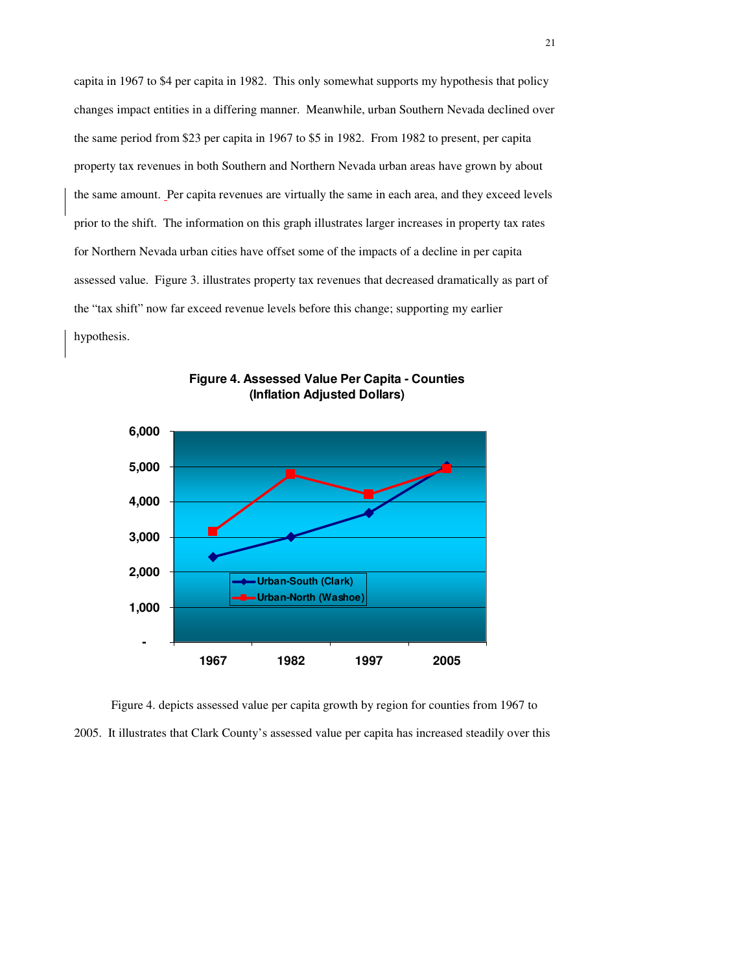capita in 1967 to \$4 per capita in 1982. This only somewhat supports my hypothesis that policy changes impact entities in a differing manner. Meanwhile, urban Southern Nevada declined over the same period from \$23 per capita in 1967 to \$5 in 1982. From 1982 to present, per capita property tax revenues in both Southern and Northern Nevada urban areas have grown by about the same amount. Per capita revenues are virtually the same in each area, and they exceed levels prior to the shift. The information on this graph illustrates larger increases in property tax rates for Northern Nevada urban cities have offset some of the impacts of a decline in per capita assessed value. Figure 3. illustrates property tax revenues that decreased dramatically as part of the "tax shift" now far exceed revenue levels before this change; supporting my earlier hypothesis.



**Figure 4. Assessed Value Per Capita - Counties (Inflation Adjusted Dollars)**

Figure 4. depicts assessed value per capita growth by region for counties from 1967 to 2005. It illustrates that Clark County's assessed value per capita has increased steadily over this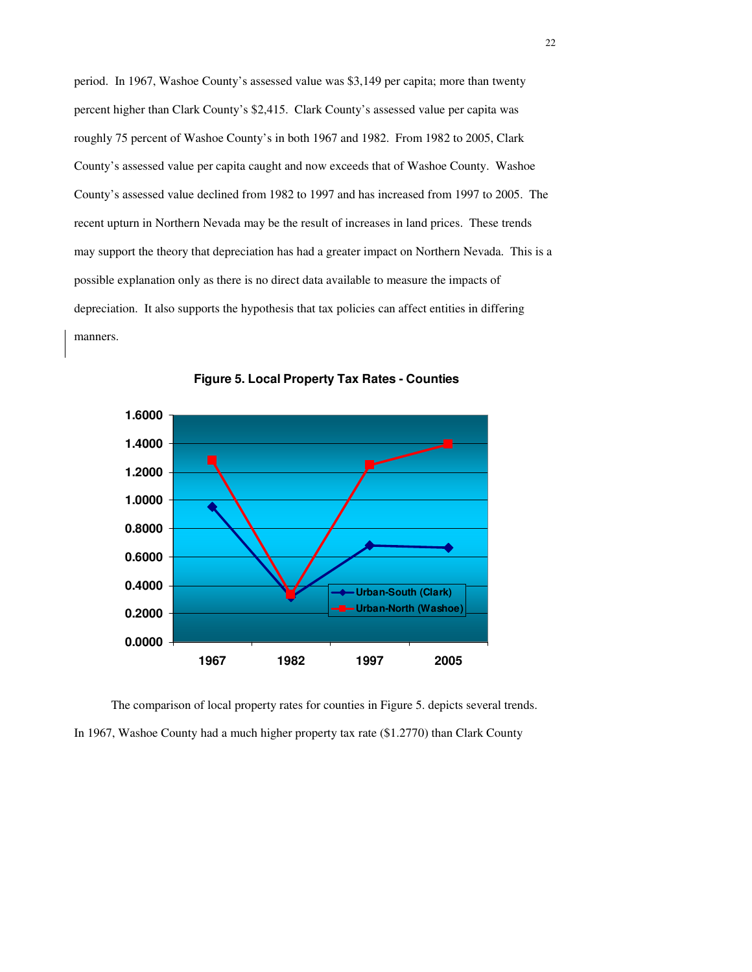period. In 1967, Washoe County's assessed value was \$3,149 per capita; more than twenty percent higher than Clark County's \$2,415. Clark County's assessed value per capita was roughly 75 percent of Washoe County's in both 1967 and 1982. From 1982 to 2005, Clark County's assessed value per capita caught and now exceeds that of Washoe County. Washoe County's assessed value declined from 1982 to 1997 and has increased from 1997 to 2005. The recent upturn in Northern Nevada may be the result of increases in land prices. These trends may support the theory that depreciation has had a greater impact on Northern Nevada. This is a possible explanation only as there is no direct data available to measure the impacts of depreciation. It also supports the hypothesis that tax policies can affect entities in differing manners.





The comparison of local property rates for counties in Figure 5. depicts several trends. In 1967, Washoe County had a much higher property tax rate (\$1.2770) than Clark County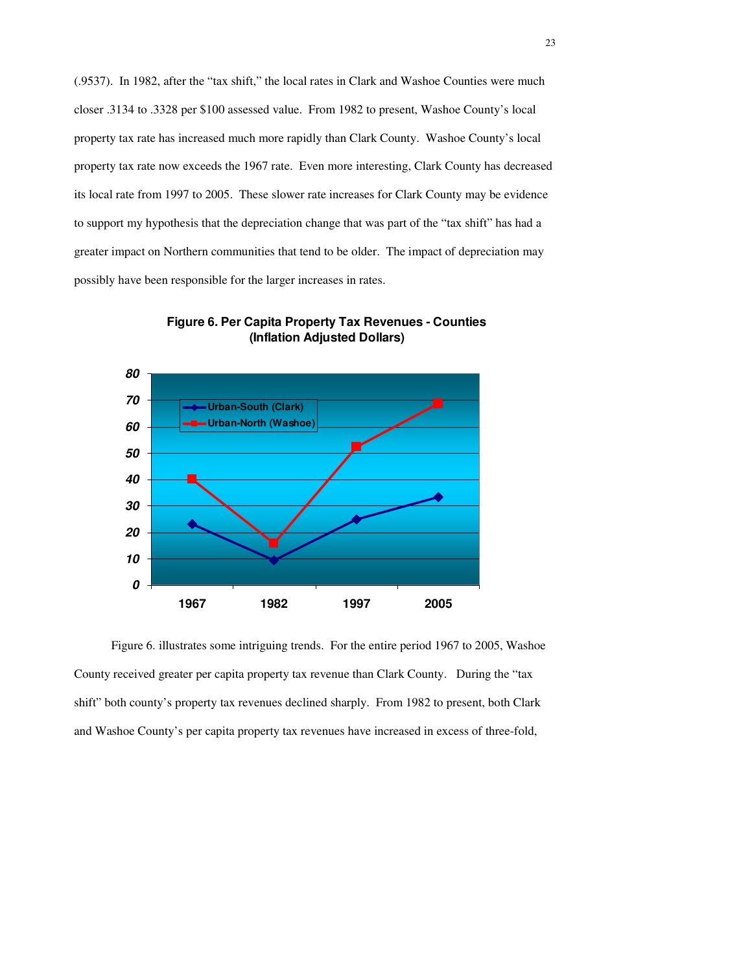(.9537). In 1982, after the "tax shift," the local rates in Clark and Washoe Counties were much closer .3134 to .3328 per \$100 assessed value. From 1982 to present, Washoe County's local property tax rate has increased much more rapidly than Clark County. Washoe County's local property tax rate now exceeds the 1967 rate. Even more interesting, Clark County has decreased its local rate from 1997 to 2005. These slower rate increases for Clark County may be evidence to support my hypothesis that the depreciation change that was part of the "tax shift" has had a greater impact on Northern communities that tend to be older. The impact of depreciation may possibly have been responsible for the larger increases in rates.





 Figure 6. illustrates some intriguing trends. For the entire period 1967 to 2005, Washoe County received greater per capita property tax revenue than Clark County. During the "tax shift" both county's property tax revenues declined sharply. From 1982 to present, both Clark and Washoe County's per capita property tax revenues have increased in excess of three-fold,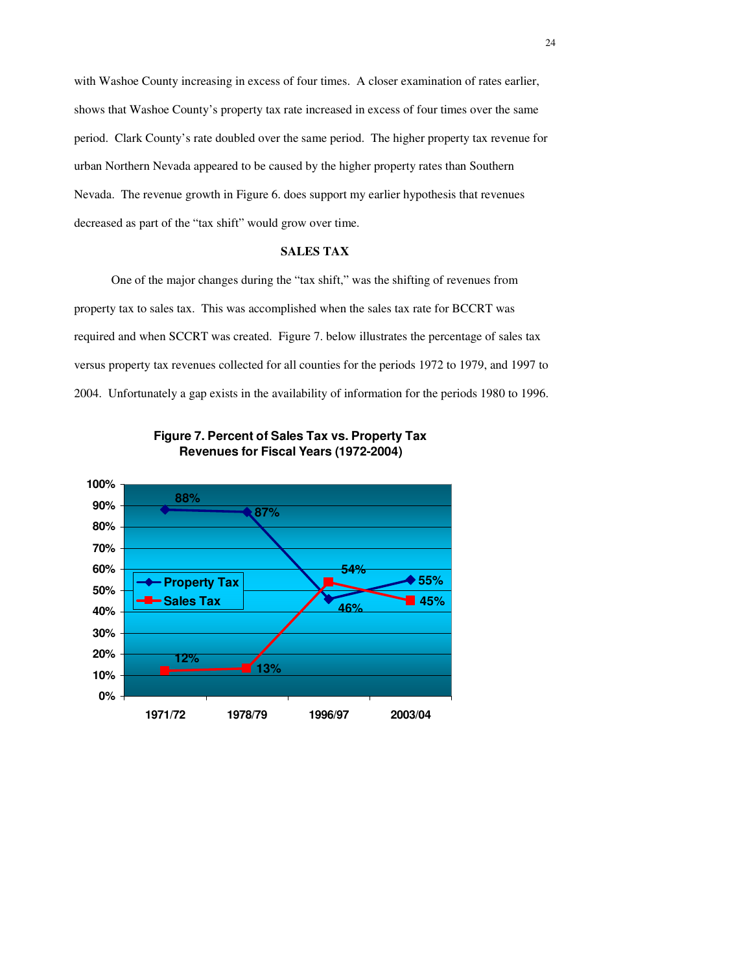with Washoe County increasing in excess of four times. A closer examination of rates earlier, shows that Washoe County's property tax rate increased in excess of four times over the same period. Clark County's rate doubled over the same period. The higher property tax revenue for urban Northern Nevada appeared to be caused by the higher property rates than Southern Nevada. The revenue growth in Figure 6. does support my earlier hypothesis that revenues decreased as part of the "tax shift" would grow over time.

## **SALES TAX**

 One of the major changes during the "tax shift," was the shifting of revenues from property tax to sales tax. This was accomplished when the sales tax rate for BCCRT was required and when SCCRT was created. Figure 7. below illustrates the percentage of sales tax versus property tax revenues collected for all counties for the periods 1972 to 1979, and 1997 to 2004. Unfortunately a gap exists in the availability of information for the periods 1980 to 1996.



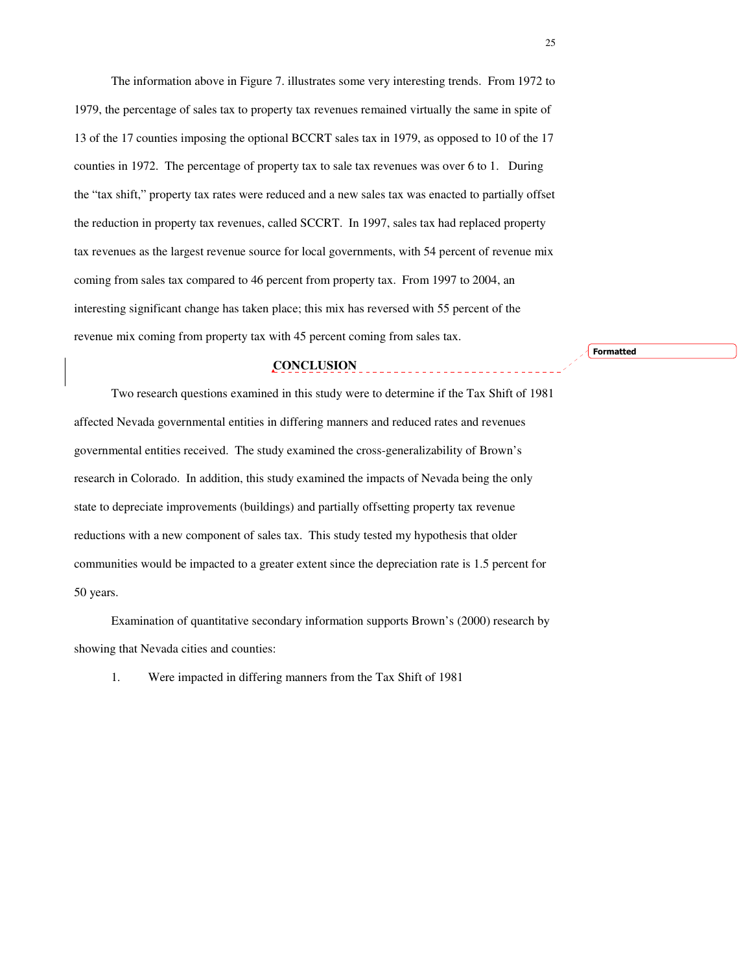The information above in Figure 7. illustrates some very interesting trends. From 1972 to 1979, the percentage of sales tax to property tax revenues remained virtually the same in spite of 13 of the 17 counties imposing the optional BCCRT sales tax in 1979, as opposed to 10 of the 17 counties in 1972. The percentage of property tax to sale tax revenues was over 6 to 1. During the "tax shift," property tax rates were reduced and a new sales tax was enacted to partially offset the reduction in property tax revenues, called SCCRT. In 1997, sales tax had replaced property tax revenues as the largest revenue source for local governments, with 54 percent of revenue mix coming from sales tax compared to 46 percent from property tax. From 1997 to 2004, an interesting significant change has taken place; this mix has reversed with 55 percent of the revenue mix coming from property tax with 45 percent coming from sales tax.

## **CONCLUSION**

Two research questions examined in this study were to determine if the Tax Shift of 1981 affected Nevada governmental entities in differing manners and reduced rates and revenues governmental entities received. The study examined the cross-generalizability of Brown's research in Colorado. In addition, this study examined the impacts of Nevada being the only state to depreciate improvements (buildings) and partially offsetting property tax revenue reductions with a new component of sales tax. This study tested my hypothesis that older communities would be impacted to a greater extent since the depreciation rate is 1.5 percent for 50 years.

 Examination of quantitative secondary information supports Brown's (2000) research by showing that Nevada cities and counties:

1. Were impacted in differing manners from the Tax Shift of 1981

Formatted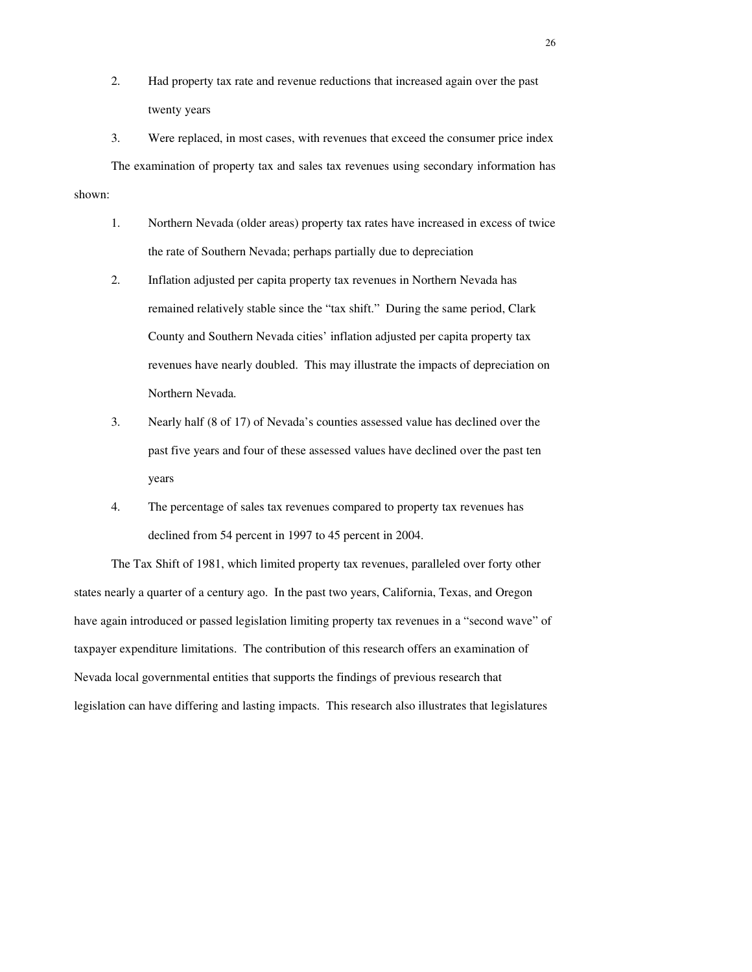- 2. Had property tax rate and revenue reductions that increased again over the past twenty years
- 3. Were replaced, in most cases, with revenues that exceed the consumer price index The examination of property tax and sales tax revenues using secondary information has shown:
	- 1. Northern Nevada (older areas) property tax rates have increased in excess of twice the rate of Southern Nevada; perhaps partially due to depreciation
	- 2. Inflation adjusted per capita property tax revenues in Northern Nevada has remained relatively stable since the "tax shift." During the same period, Clark County and Southern Nevada cities' inflation adjusted per capita property tax revenues have nearly doubled. This may illustrate the impacts of depreciation on Northern Nevada.
	- 3. Nearly half (8 of 17) of Nevada's counties assessed value has declined over the past five years and four of these assessed values have declined over the past ten years
	- 4. The percentage of sales tax revenues compared to property tax revenues has declined from 54 percent in 1997 to 45 percent in 2004.

The Tax Shift of 1981, which limited property tax revenues, paralleled over forty other states nearly a quarter of a century ago. In the past two years, California, Texas, and Oregon have again introduced or passed legislation limiting property tax revenues in a "second wave" of taxpayer expenditure limitations. The contribution of this research offers an examination of Nevada local governmental entities that supports the findings of previous research that legislation can have differing and lasting impacts. This research also illustrates that legislatures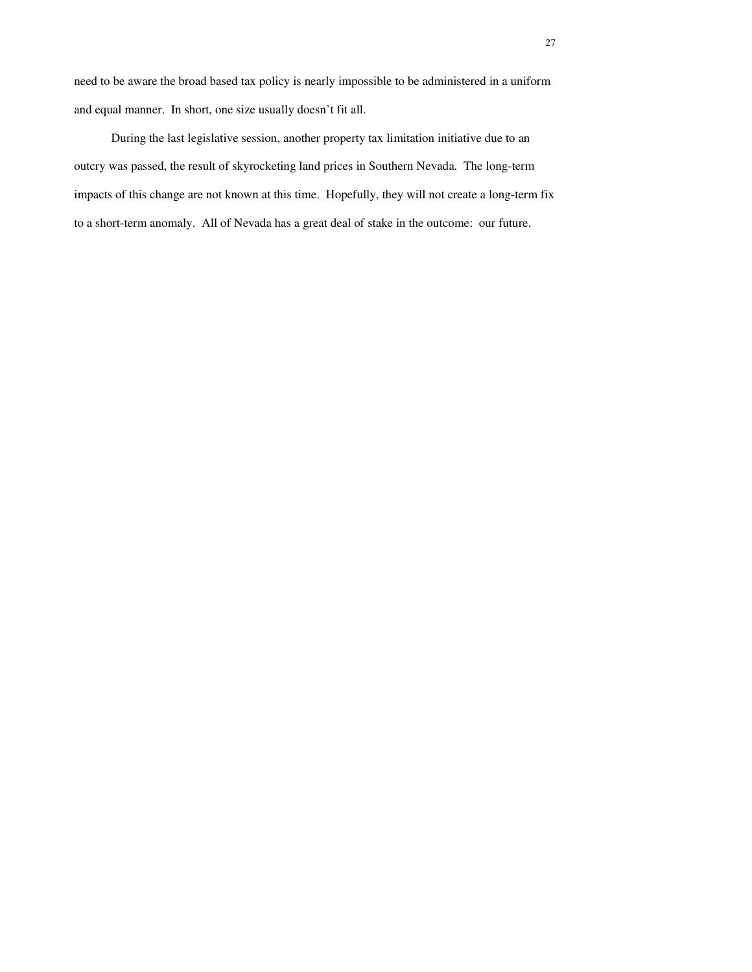need to be aware the broad based tax policy is nearly impossible to be administered in a uniform and equal manner. In short, one size usually doesn't fit all.

During the last legislative session, another property tax limitation initiative due to an outcry was passed, the result of skyrocketing land prices in Southern Nevada. The long-term impacts of this change are not known at this time. Hopefully, they will not create a long-term fix to a short-term anomaly. All of Nevada has a great deal of stake in the outcome: our future.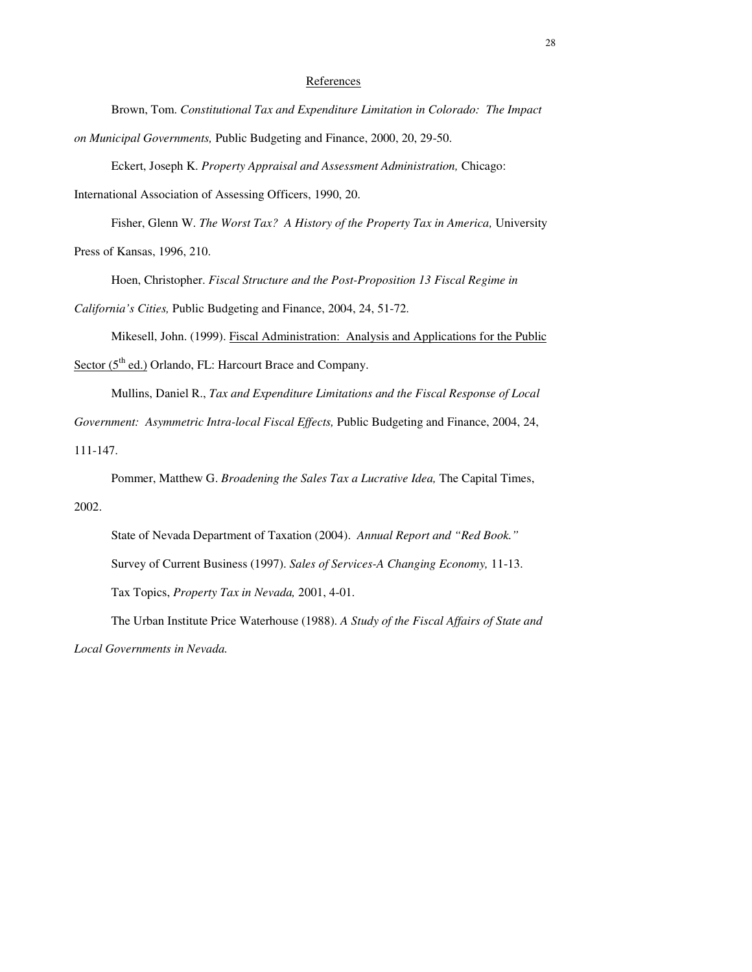#### References

Brown, Tom. *Constitutional Tax and Expenditure Limitation in Colorado: The Impact on Municipal Governments,* Public Budgeting and Finance, 2000, 20, 29-50.

Eckert, Joseph K. *Property Appraisal and Assessment Administration,* Chicago:

International Association of Assessing Officers, 1990, 20.

Fisher, Glenn W. *The Worst Tax? A History of the Property Tax in America*, University Press of Kansas, 1996, 210.

Hoen, Christopher. *Fiscal Structure and the Post-Proposition 13 Fiscal Regime in* 

*California's Cities,* Public Budgeting and Finance, 2004, 24, 51-72.

Mikesell, John. (1999). Fiscal Administration: Analysis and Applications for the Public

Sector (5<sup>th</sup> ed.) Orlando, FL: Harcourt Brace and Company.

Mullins, Daniel R., *Tax and Expenditure Limitations and the Fiscal Response of Local Government: Asymmetric Intra-local Fiscal Effects,* Public Budgeting and Finance, 2004, 24,

111-147.

Pommer, Matthew G. *Broadening the Sales Tax a Lucrative Idea,* The Capital Times, 2002.

State of Nevada Department of Taxation (2004). *Annual Report and "Red Book."*  Survey of Current Business (1997). *Sales of Services-A Changing Economy,* 11-13. Tax Topics, *Property Tax in Nevada,* 2001, 4-01.

The Urban Institute Price Waterhouse (1988). *A Study of the Fiscal Affairs of State and Local Governments in Nevada.*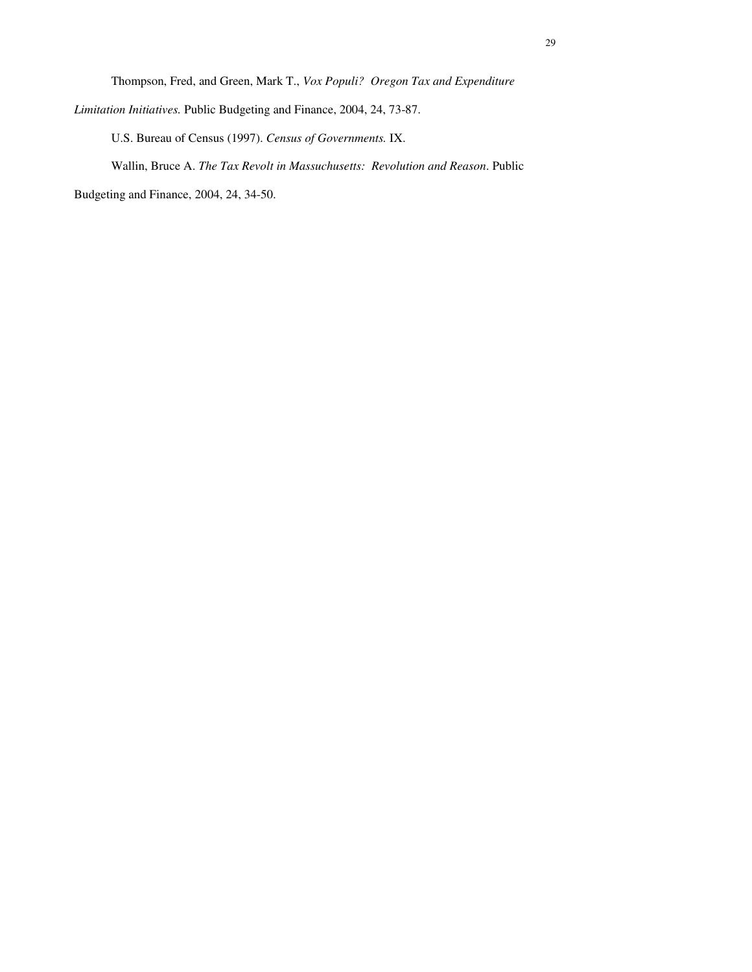Thompson, Fred, and Green, Mark T., *Vox Populi? Oregon Tax and Expenditure* 

U.S. Bureau of Census (1997). *Census of Governments.* IX.

Wallin, Bruce A. *The Tax Revolt in Massuchusetts: Revolution and Reason*. Public

Budgeting and Finance, 2004, 24, 34-50.